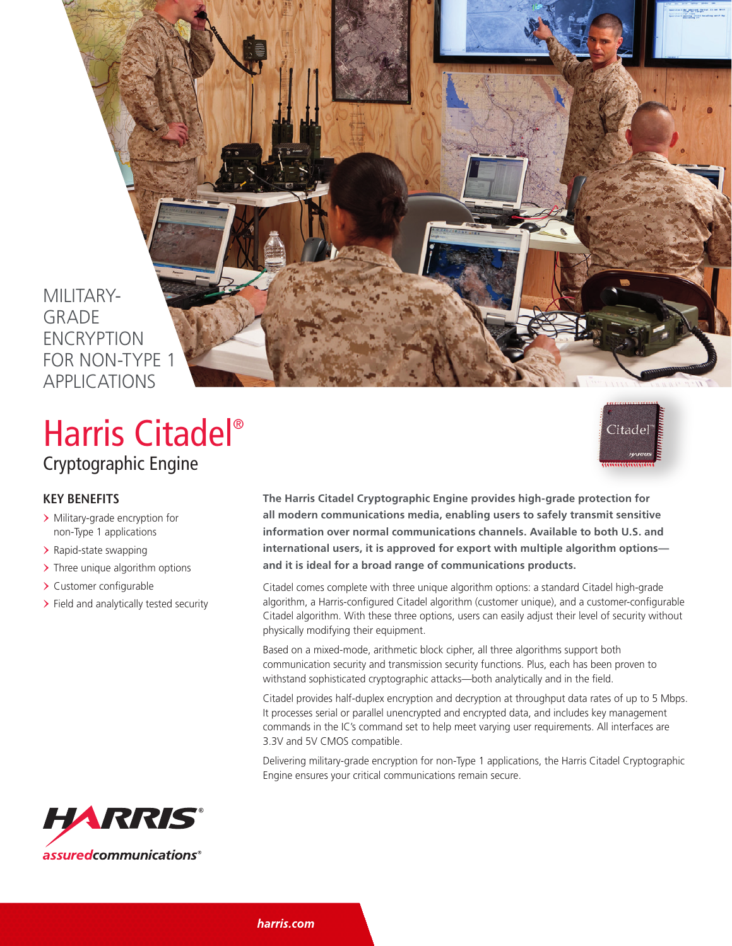MILITARY-**GRADE** *ENCRYPTION* FOR NON-TYPE 1 APPLICATIONS

## Cryptographic Engine Harris Citadel®



- > Military-grade encryption for non-Type 1 applications
- > Rapid-state swapping
- > Three unique algorithm options
- > Customer configurable
- > Field and analytically tested security



**The Harris Citadel Cryptographic Engine provides high-grade protection for all modern communications media, enabling users to safely transmit sensitive information over normal communications channels. Available to both U.S. and international users, it is approved for export with multiple algorithm options and it is ideal for a broad range of communications products.**

Citadel comes complete with three unique algorithm options: a standard Citadel high-grade algorithm, a Harris-configured Citadel algorithm (customer unique), and a customer-configurable Citadel algorithm. With these three options, users can easily adjust their level of security without physically modifying their equipment.

Based on a mixed-mode, arithmetic block cipher, all three algorithms support both communication security and transmission security functions. Plus, each has been proven to withstand sophisticated cryptographic attacks—both analytically and in the field.

Citadel provides half-duplex encryption and decryption at throughput data rates of up to 5 Mbps. It processes serial or parallel unencrypted and encrypted data, and includes key management commands in the IC's command set to help meet varying user requirements. All interfaces are 3.3V and 5V CMOS compatible.

Delivering military-grade encryption for non-Type 1 applications, the Harris Citadel Cryptographic Engine ensures your critical communications remain secure.



harris.com